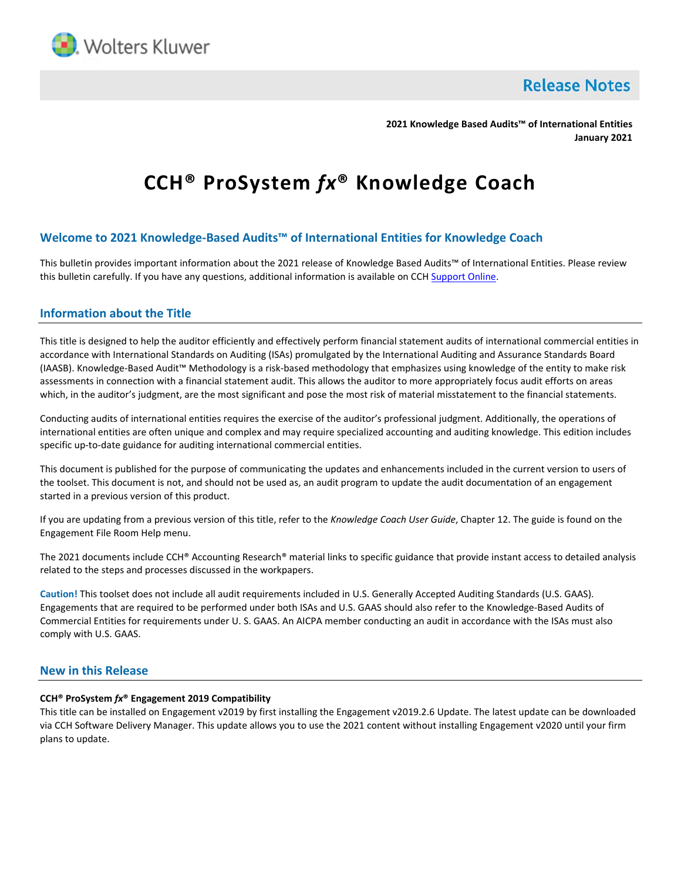

**Release Notes** 

**2021 Knowledge Based Audits™ of International Entities January 2021**

# **CCH® ProSystem** *fx***® Knowledge Coach**

# **Welcome to 2021 Knowledge-Based Audits™ of International Entities for Knowledge Coach**

This bulletin provides important information about the 2021 release of Knowledge Based Audits™ of International Entities. Please review this bulletin carefully. If you have any questions, additional information is available on CCH [Support Online.](http://support.cch.com/productsupport/)

## **Information about the Title**

This title is designed to help the auditor efficiently and effectively perform financial statement audits of international commercial entities in accordance with International Standards on Auditing (ISAs) promulgated by the International Auditing and Assurance Standards Board (IAASB). Knowledge-Based Audit™ Methodology is a risk-based methodology that emphasizes using knowledge of the entity to make risk assessments in connection with a financial statement audit. This allows the auditor to more appropriately focus audit efforts on areas which, in the auditor's judgment, are the most significant and pose the most risk of material misstatement to the financial statements.

Conducting audits of international entities requires the exercise of the auditor's professional judgment. Additionally, the operations of international entities are often unique and complex and may require specialized accounting and auditing knowledge. This edition includes specific up-to-date guidance for auditing international commercial entities.

This document is published for the purpose of communicating the updates and enhancements included in the current version to users of the toolset. This document is not, and should not be used as, an audit program to update the audit documentation of an engagement started in a previous version of this product.

If you are updating from a previous version of this title, refer to the *Knowledge Coach User Guide*, Chapter 12. The guide is found on the Engagement File Room Help menu.

The 2021 documents include CCH® Accounting Research® material links to specific guidance that provide instant access to detailed analysis related to the steps and processes discussed in the workpapers.

**Caution!** This toolset does not include all audit requirements included in U.S. Generally Accepted Auditing Standards (U.S. GAAS). Engagements that are required to be performed under both ISAs and U.S. GAAS should also refer to the Knowledge-Based Audits of Commercial Entities for requirements under U. S. GAAS. An AICPA member conducting an audit in accordance with the ISAs must also comply with U.S. GAAS.

## **New in this Release**

#### **CCH® ProSystem** *fx***® Engagement 2019 Compatibility**

This title can be installed on Engagement v2019 by first installing the Engagement v2019.2.6 Update. The latest update can be downloaded via CCH Software Delivery Manager. This update allows you to use the 2021 content without installing Engagement v2020 until your firm plans to update.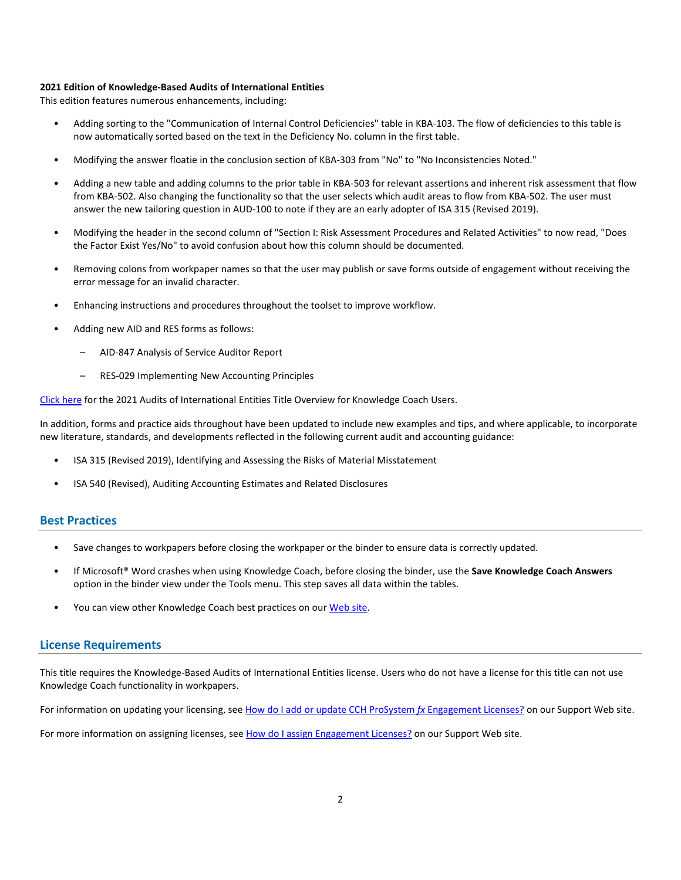#### **2021 Edition of Knowledge-Based Audits of International Entities**

This edition features numerous enhancements, including:

- Adding sorting to the "Communication of Internal Control Deficiencies" table in KBA-103. The flow of deficiencies to this table is now automatically sorted based on the text in the Deficiency No. column in the first table.
- Modifying the answer floatie in the conclusion section of KBA-303 from "No" to "No Inconsistencies Noted."
- Adding a new table and adding columns to the prior table in KBA-503 for relevant assertions and inherent risk assessment that flow from KBA-502. Also changing the functionality so that the user selects which audit areas to flow from KBA-502. The user must answer the new tailoring question in AUD-100 to note if they are an early adopter of ISA 315 (Revised 2019).
- Modifying the header in the second column of "Section I: Risk Assessment Procedures and Related Activities" to now read, "Does the Factor Exist Yes/No" to avoid confusion about how this column should be documented.
- Removing colons from workpaper names so that the user may publish or save forms outside of engagement without receiving the error message for an invalid character.
- Enhancing instructions and procedures throughout the toolset to improve workflow.
- Adding new AID and RES forms as follows:
	- AID-847 Analysis of Service Auditor Report
	- RES-029 Implementing New Accounting Principles

[Click here](http://support.cch.com/updates/KnowledgeCoach/pdf/guides_tab/2021%20International%20Entities%20Title%20Overview%20for%20Knowledge%20Coach%20Users.pdf) for the 2021 Audits of International Entities Title Overview for Knowledge Coach Users.

In addition, forms and practice aids throughout have been updated to include new examples and tips, and where applicable, to incorporate new literature, standards, and developments reflected in the following current audit and accounting guidance:

- ISA 315 (Revised 2019), Identifying and Assessing the Risks of Material Misstatement
- ISA 540 (Revised), Auditing Accounting Estimates and Related Disclosures

#### **Best Practices**

- Save changes to workpapers before closing the workpaper or the binder to ensure data is correctly updated.
- If Microsoft® Word crashes when using Knowledge Coach, before closing the binder, use the **Save Knowledge Coach Answers** option in the binder view under the Tools menu. This step saves all data within the tables.
- You can view other Knowledge Coach best practices on ou[r Web](https://support.cch.com/kb/solution/000034942/sw34947) site.

## **License Requirements**

This title requires the Knowledge-Based Audits of International Entities license. Users who do not have a license for this title can not use Knowledge Coach functionality in workpapers.

For information on updating your licensing, see [How do I add or update CCH ProSystem](https://support.cch.com/kb/solution.aspx/sw3937) fx Engagement Licenses? on our Support Web site.

For more information on assigning licenses, see [How do I assign Engagement Licenses?](https://support.cch.com/kb/solution.aspx/sw3943) on our Support Web site.